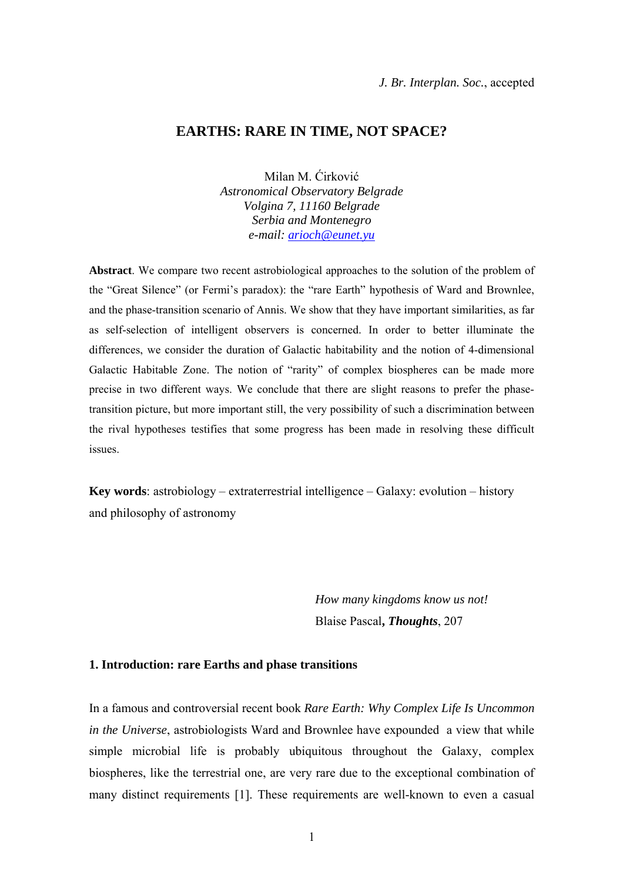# **EARTHS: RARE IN TIME, NOT SPACE?**

Milan M. Ćirković *Astronomical Observatory Belgrade Volgina 7, 11160 Belgrade Serbia and Montenegro e-mail: arioch@eunet.yu*

**Abstract**. We compare two recent astrobiological approaches to the solution of the problem of the "Great Silence" (or Fermi's paradox): the "rare Earth" hypothesis of Ward and Brownlee, and the phase-transition scenario of Annis. We show that they have important similarities, as far as self-selection of intelligent observers is concerned. In order to better illuminate the differences, we consider the duration of Galactic habitability and the notion of 4-dimensional Galactic Habitable Zone. The notion of "rarity" of complex biospheres can be made more precise in two different ways. We conclude that there are slight reasons to prefer the phasetransition picture, but more important still, the very possibility of such a discrimination between the rival hypotheses testifies that some progress has been made in resolving these difficult issues.

**Key words**: astrobiology – extraterrestrial intelligence – Galaxy: evolution – history and philosophy of astronomy

> *How many kingdoms know us not!* Blaise Pascal**,** *Thoughts*, 207

## **1. Introduction: rare Earths and phase transitions**

In a famous and controversial recent book *Rare Earth: Why Complex Life Is Uncommon in the Universe*, astrobiologists Ward and Brownlee have expounded a view that while simple microbial life is probably ubiquitous throughout the Galaxy, complex biospheres, like the terrestrial one, are very rare due to the exceptional combination of many distinct requirements [1]. These requirements are well-known to even a casual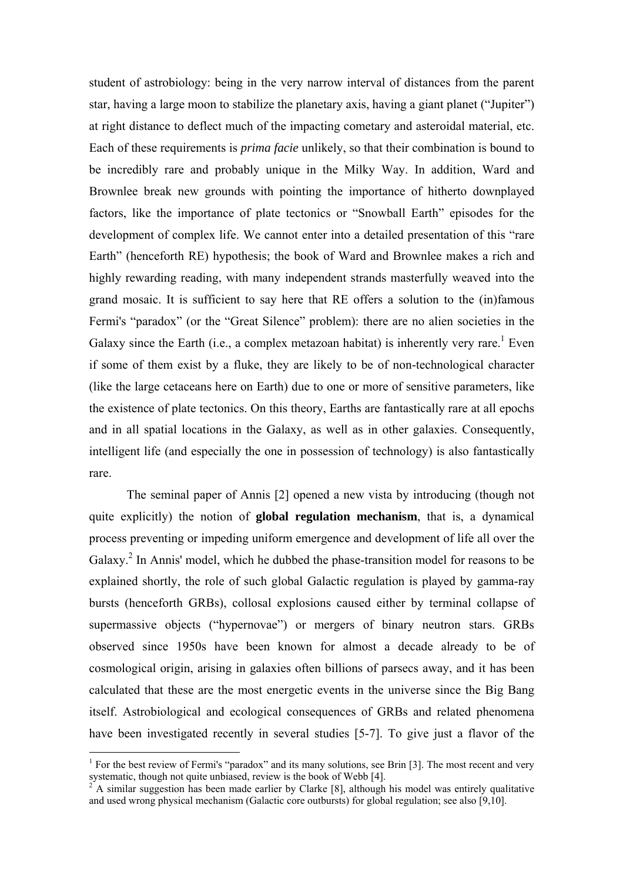student of astrobiology: being in the very narrow interval of distances from the parent star, having a large moon to stabilize the planetary axis, having a giant planet ("Jupiter") at right distance to deflect much of the impacting cometary and asteroidal material, etc. Each of these requirements is *prima facie* unlikely, so that their combination is bound to be incredibly rare and probably unique in the Milky Way. In addition, Ward and Brownlee break new grounds with pointing the importance of hitherto downplayed factors, like the importance of plate tectonics or "Snowball Earth" episodes for the development of complex life. We cannot enter into a detailed presentation of this "rare Earth" (henceforth RE) hypothesis; the book of Ward and Brownlee makes a rich and highly rewarding reading, with many independent strands masterfully weaved into the grand mosaic. It is sufficient to say here that RE offers a solution to the (in)famous Fermi's "paradox" (or the "Great Silence" problem): there are no alien societies in the Galaxy since the Earth (i.e., a complex metazoan habitat) is inherently very rare.<sup>1</sup> Even if some of them exist by a fluke, they are likely to be of non-technological character (like the large cetaceans here on Earth) due to one or more of sensitive parameters, like the existence of plate tectonics. On this theory, Earths are fantastically rare at all epochs and in all spatial locations in the Galaxy, as well as in other galaxies. Consequently, intelligent life (and especially the one in possession of technology) is also fantastically rare.

 The seminal paper of Annis [2] opened a new vista by introducing (though not quite explicitly) the notion of **global regulation mechanism**, that is, a dynamical process preventing or impeding uniform emergence and development of life all over the Galaxy.<sup>2</sup> In Annis' model, which he dubbed the phase-transition model for reasons to be explained shortly, the role of such global Galactic regulation is played by gamma-ray bursts (henceforth GRBs), collosal explosions caused either by terminal collapse of supermassive objects ("hypernovae") or mergers of binary neutron stars. GRBs observed since 1950s have been known for almost a decade already to be of cosmological origin, arising in galaxies often billions of parsecs away, and it has been calculated that these are the most energetic events in the universe since the Big Bang itself. Astrobiological and ecological consequences of GRBs and related phenomena have been investigated recently in several studies [5-7]. To give just a flavor of the

 $\overline{a}$ 

<sup>&</sup>lt;sup>1</sup> For the best review of Fermi's "paradox" and its many solutions, see Brin [3]. The most recent and very systematic, though not quite unbiased, review is the book of Webb [4].

<sup>2</sup> A similar suggestion has been made earlier by Clarke [8], although his model was entirely qualitative and used wrong physical mechanism (Galactic core outbursts) for global regulation; see also [9,10].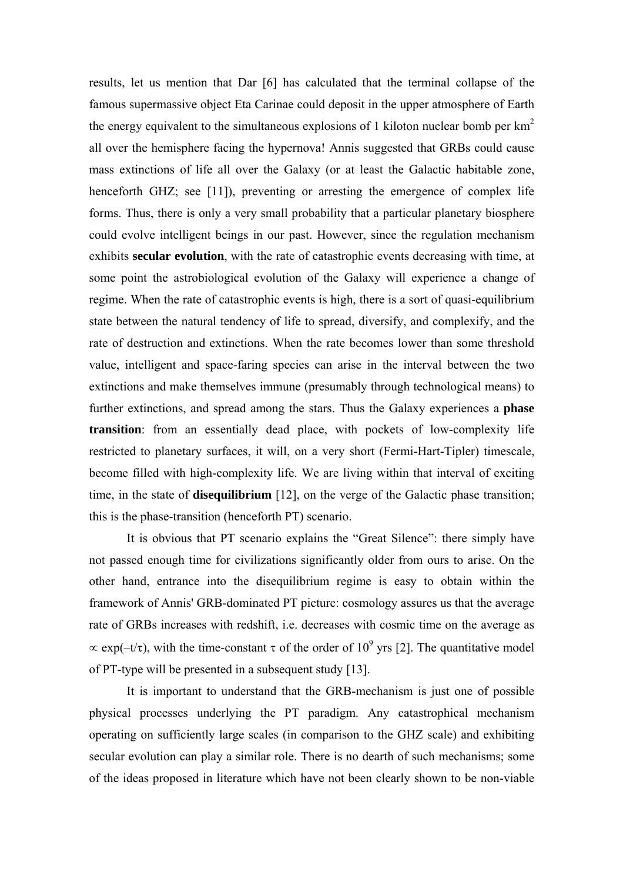results, let us mention that Dar [6] has calculated that the terminal collapse of the famous supermassive object Eta Carinae could deposit in the upper atmosphere of Earth the energy equivalent to the simultaneous explosions of 1 kiloton nuclear bomb per  $km<sup>2</sup>$ all over the hemisphere facing the hypernova! Annis suggested that GRBs could cause mass extinctions of life all over the Galaxy (or at least the Galactic habitable zone, henceforth GHZ; see [11]), preventing or arresting the emergence of complex life forms. Thus, there is only a very small probability that a particular planetary biosphere could evolve intelligent beings in our past. However, since the regulation mechanism exhibits **secular evolution**, with the rate of catastrophic events decreasing with time, at some point the astrobiological evolution of the Galaxy will experience a change of regime. When the rate of catastrophic events is high, there is a sort of quasi-equilibrium state between the natural tendency of life to spread, diversify, and complexify, and the rate of destruction and extinctions. When the rate becomes lower than some threshold value, intelligent and space-faring species can arise in the interval between the two extinctions and make themselves immune (presumably through technological means) to further extinctions, and spread among the stars. Thus the Galaxy experiences a **phase transition**: from an essentially dead place, with pockets of low-complexity life restricted to planetary surfaces, it will, on a very short (Fermi-Hart-Tipler) timescale, become filled with high-complexity life. We are living within that interval of exciting time, in the state of **disequilibrium** [12], on the verge of the Galactic phase transition; this is the phase-transition (henceforth PT) scenario.

 It is obvious that PT scenario explains the "Great Silence": there simply have not passed enough time for civilizations significantly older from ours to arise. On the other hand, entrance into the disequilibrium regime is easy to obtain within the framework of Annis' GRB-dominated PT picture: cosmology assures us that the average rate of GRBs increases with redshift, i.e. decreases with cosmic time on the average as  $\propto$  exp(-t/ $\tau$ ), with the time-constant  $\tau$  of the order of 10<sup>9</sup> yrs [2]. The quantitative model of PT-type will be presented in a subsequent study [13].

 It is important to understand that the GRB-mechanism is just one of possible physical processes underlying the PT paradigm. Any catastrophical mechanism operating on sufficiently large scales (in comparison to the GHZ scale) and exhibiting secular evolution can play a similar role. There is no dearth of such mechanisms; some of the ideas proposed in literature which have not been clearly shown to be non-viable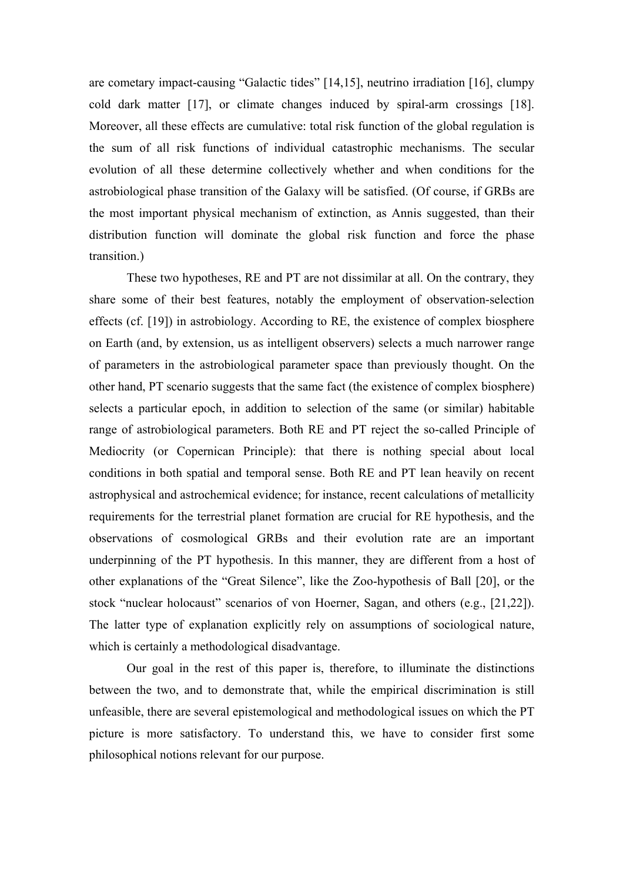are cometary impact-causing "Galactic tides" [14,15], neutrino irradiation [16], clumpy cold dark matter [17], or climate changes induced by spiral-arm crossings [18]. Moreover, all these effects are cumulative: total risk function of the global regulation is the sum of all risk functions of individual catastrophic mechanisms. The secular evolution of all these determine collectively whether and when conditions for the astrobiological phase transition of the Galaxy will be satisfied. (Of course, if GRBs are the most important physical mechanism of extinction, as Annis suggested, than their distribution function will dominate the global risk function and force the phase transition.)

 These two hypotheses, RE and PT are not dissimilar at all. On the contrary, they share some of their best features, notably the employment of observation-selection effects (cf. [19]) in astrobiology. According to RE, the existence of complex biosphere on Earth (and, by extension, us as intelligent observers) selects a much narrower range of parameters in the astrobiological parameter space than previously thought. On the other hand, PT scenario suggests that the same fact (the existence of complex biosphere) selects a particular epoch, in addition to selection of the same (or similar) habitable range of astrobiological parameters. Both RE and PT reject the so-called Principle of Mediocrity (or Copernican Principle): that there is nothing special about local conditions in both spatial and temporal sense. Both RE and PT lean heavily on recent astrophysical and astrochemical evidence; for instance, recent calculations of metallicity requirements for the terrestrial planet formation are crucial for RE hypothesis, and the observations of cosmological GRBs and their evolution rate are an important underpinning of the PT hypothesis. In this manner, they are different from a host of other explanations of the "Great Silence", like the Zoo-hypothesis of Ball [20], or the stock "nuclear holocaust" scenarios of von Hoerner, Sagan, and others (e.g., [21,22]). The latter type of explanation explicitly rely on assumptions of sociological nature, which is certainly a methodological disadvantage.

 Our goal in the rest of this paper is, therefore, to illuminate the distinctions between the two, and to demonstrate that, while the empirical discrimination is still unfeasible, there are several epistemological and methodological issues on which the PT picture is more satisfactory. To understand this, we have to consider first some philosophical notions relevant for our purpose.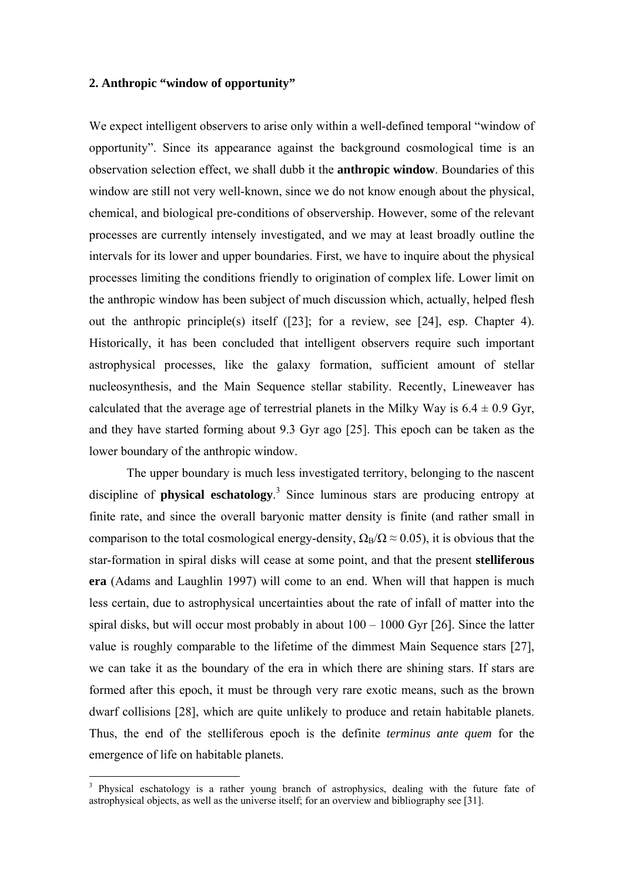## **2. Anthropic "window of opportunity"**

We expect intelligent observers to arise only within a well-defined temporal "window of opportunity". Since its appearance against the background cosmological time is an observation selection effect, we shall dubb it the **anthropic window**. Boundaries of this window are still not very well-known, since we do not know enough about the physical, chemical, and biological pre-conditions of observership. However, some of the relevant processes are currently intensely investigated, and we may at least broadly outline the intervals for its lower and upper boundaries. First, we have to inquire about the physical processes limiting the conditions friendly to origination of complex life. Lower limit on the anthropic window has been subject of much discussion which, actually, helped flesh out the anthropic principle(s) itself ([23]; for a review, see [24], esp. Chapter 4). Historically, it has been concluded that intelligent observers require such important astrophysical processes, like the galaxy formation, sufficient amount of stellar nucleosynthesis, and the Main Sequence stellar stability. Recently, Lineweaver has calculated that the average age of terrestrial planets in the Milky Way is  $6.4 \pm 0.9$  Gyr, and they have started forming about 9.3 Gyr ago [25]. This epoch can be taken as the lower boundary of the anthropic window.

 The upper boundary is much less investigated territory, belonging to the nascent discipline of **physical eschatology**. 3 Since luminous stars are producing entropy at finite rate, and since the overall baryonic matter density is finite (and rather small in comparison to the total cosmological energy-density,  $\Omega_B/\Omega \approx 0.05$ ), it is obvious that the star-formation in spiral disks will cease at some point, and that the present **stelliferous era** (Adams and Laughlin 1997) will come to an end. When will that happen is much less certain, due to astrophysical uncertainties about the rate of infall of matter into the spiral disks, but will occur most probably in about 100 – 1000 Gyr [26]. Since the latter value is roughly comparable to the lifetime of the dimmest Main Sequence stars [27], we can take it as the boundary of the era in which there are shining stars. If stars are formed after this epoch, it must be through very rare exotic means, such as the brown dwarf collisions [28], which are quite unlikely to produce and retain habitable planets. Thus, the end of the stelliferous epoch is the definite *terminus ante quem* for the emergence of life on habitable planets.

 $\overline{a}$ 

<sup>&</sup>lt;sup>3</sup> Physical eschatology is a rather young branch of astrophysics, dealing with the future fate of astrophysical objects, as well as the universe itself; for an overview and bibliography see [31].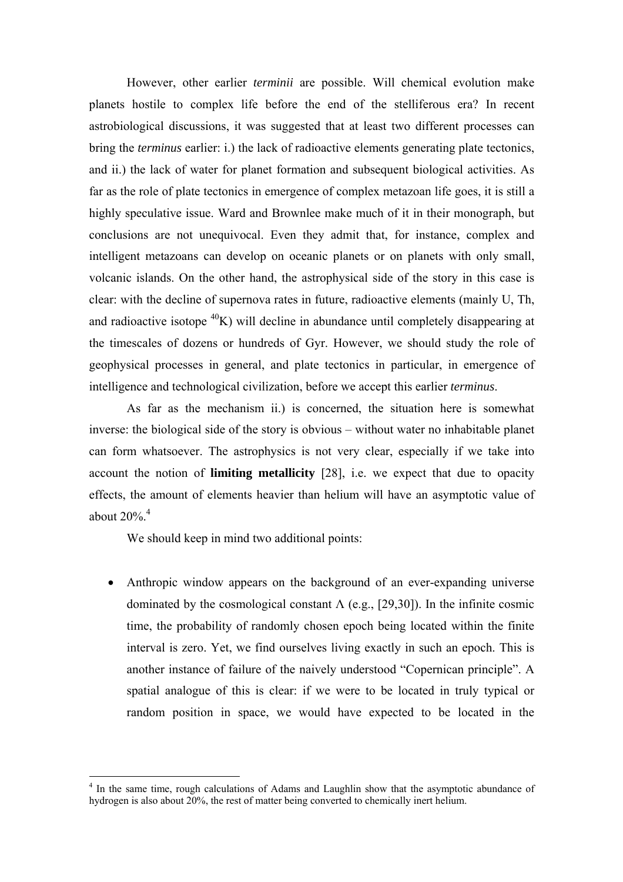However, other earlier *terminii* are possible. Will chemical evolution make planets hostile to complex life before the end of the stelliferous era? In recent astrobiological discussions, it was suggested that at least two different processes can bring the *terminus* earlier: i.) the lack of radioactive elements generating plate tectonics, and ii.) the lack of water for planet formation and subsequent biological activities. As far as the role of plate tectonics in emergence of complex metazoan life goes, it is still a highly speculative issue. Ward and Brownlee make much of it in their monograph, but conclusions are not unequivocal. Even they admit that, for instance, complex and intelligent metazoans can develop on oceanic planets or on planets with only small, volcanic islands. On the other hand, the astrophysical side of the story in this case is clear: with the decline of supernova rates in future, radioactive elements (mainly U, Th, and radioactive isotope  ${}^{40}K$ ) will decline in abundance until completely disappearing at the timescales of dozens or hundreds of Gyr. However, we should study the role of geophysical processes in general, and plate tectonics in particular, in emergence of intelligence and technological civilization, before we accept this earlier *terminus*.

 As far as the mechanism ii.) is concerned, the situation here is somewhat inverse: the biological side of the story is obvious – without water no inhabitable planet can form whatsoever. The astrophysics is not very clear, especially if we take into account the notion of **limiting metallicity** [28], i.e. we expect that due to opacity effects, the amount of elements heavier than helium will have an asymptotic value of about  $20\%$ .<sup>4</sup>

We should keep in mind two additional points:

 $\overline{a}$ 

• Anthropic window appears on the background of an ever-expanding universe dominated by the cosmological constant  $\Lambda$  (e.g., [29,30]). In the infinite cosmic time, the probability of randomly chosen epoch being located within the finite interval is zero. Yet, we find ourselves living exactly in such an epoch. This is another instance of failure of the naively understood "Copernican principle". A spatial analogue of this is clear: if we were to be located in truly typical or random position in space, we would have expected to be located in the

<sup>&</sup>lt;sup>4</sup> In the same time, rough calculations of Adams and Laughlin show that the asymptotic abundance of hydrogen is also about 20%, the rest of matter being converted to chemically inert helium.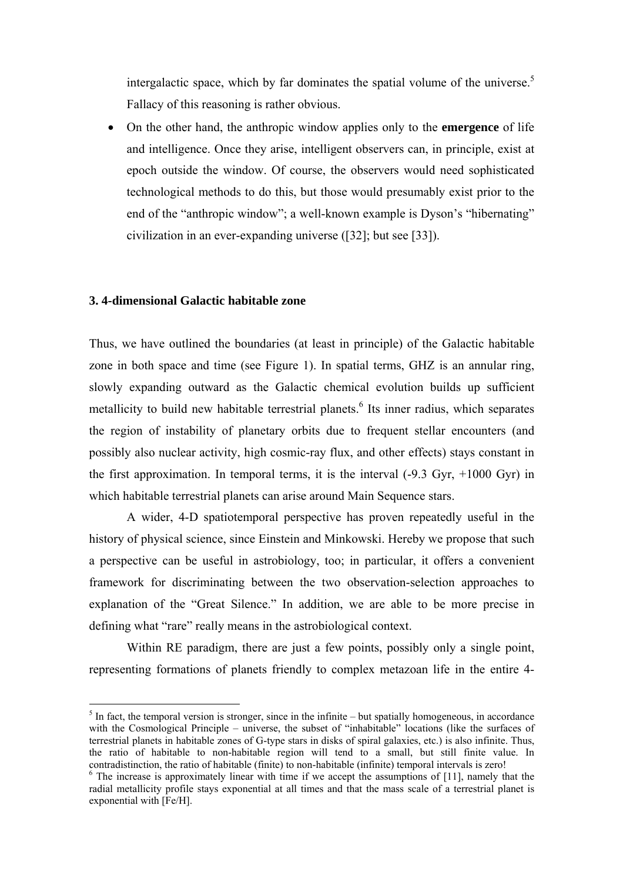intergalactic space, which by far dominates the spatial volume of the universe.<sup>5</sup> Fallacy of this reasoning is rather obvious.

• On the other hand, the anthropic window applies only to the **emergence** of life and intelligence. Once they arise, intelligent observers can, in principle, exist at epoch outside the window. Of course, the observers would need sophisticated technological methods to do this, but those would presumably exist prior to the end of the "anthropic window"; a well-known example is Dyson's "hibernating" civilization in an ever-expanding universe ([32]; but see [33]).

#### **3. 4-dimensional Galactic habitable zone**

 $\overline{a}$ 

Thus, we have outlined the boundaries (at least in principle) of the Galactic habitable zone in both space and time (see Figure 1). In spatial terms, GHZ is an annular ring, slowly expanding outward as the Galactic chemical evolution builds up sufficient metallicity to build new habitable terrestrial planets.<sup>6</sup> Its inner radius, which separates the region of instability of planetary orbits due to frequent stellar encounters (and possibly also nuclear activity, high cosmic-ray flux, and other effects) stays constant in the first approximation. In temporal terms, it is the interval  $(-9.3 \text{ Gyr}, +1000 \text{ Gyr})$  in which habitable terrestrial planets can arise around Main Sequence stars.

 A wider, 4-D spatiotemporal perspective has proven repeatedly useful in the history of physical science, since Einstein and Minkowski. Hereby we propose that such a perspective can be useful in astrobiology, too; in particular, it offers a convenient framework for discriminating between the two observation-selection approaches to explanation of the "Great Silence." In addition, we are able to be more precise in defining what "rare" really means in the astrobiological context.

 Within RE paradigm, there are just a few points, possibly only a single point, representing formations of planets friendly to complex metazoan life in the entire 4-

 $<sup>5</sup>$  In fact, the temporal version is stronger, since in the infinite – but spatially homogeneous, in accordance</sup> with the Cosmological Principle – universe, the subset of "inhabitable" locations (like the surfaces of terrestrial planets in habitable zones of G-type stars in disks of spiral galaxies, etc.) is also infinite. Thus, the ratio of habitable to non-habitable region will tend to a small, but still finite value. In contradistinction, the ratio of habitable (finite) to non-habitable (infinite) temporal intervals is zero!

 $6$  The increase is approximately linear with time if we accept the assumptions of [11], namely that the radial metallicity profile stays exponential at all times and that the mass scale of a terrestrial planet is exponential with [Fe/H].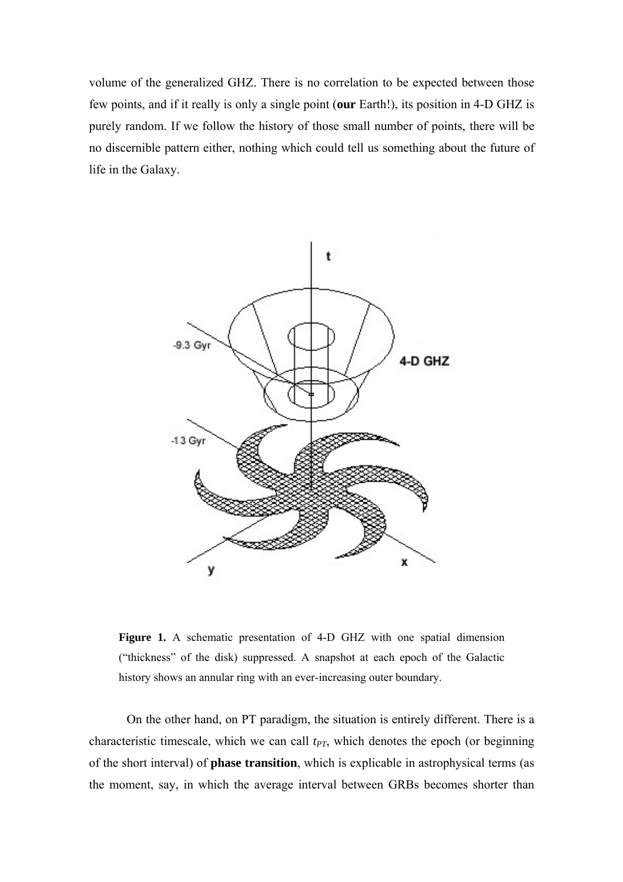volume of the generalized GHZ. There is no correlation to be expected between those few points, and if it really is only a single point (**our** Earth!), its position in 4-D GHZ is purely random. If we follow the history of those small number of points, there will be no discernible pattern either, nothing which could tell us something about the future of life in the Galaxy.



**Figure 1.** A schematic presentation of 4-D GHZ with one spatial dimension ("thickness" of the disk) suppressed. A snapshot at each epoch of the Galactic history shows an annular ring with an ever-increasing outer boundary.

 On the other hand, on PT paradigm, the situation is entirely different. There is a characteristic timescale, which we can call  $t_{PT}$ , which denotes the epoch (or beginning of the short interval) of **phase transition**, which is explicable in astrophysical terms (as the moment, say, in which the average interval between GRBs becomes shorter than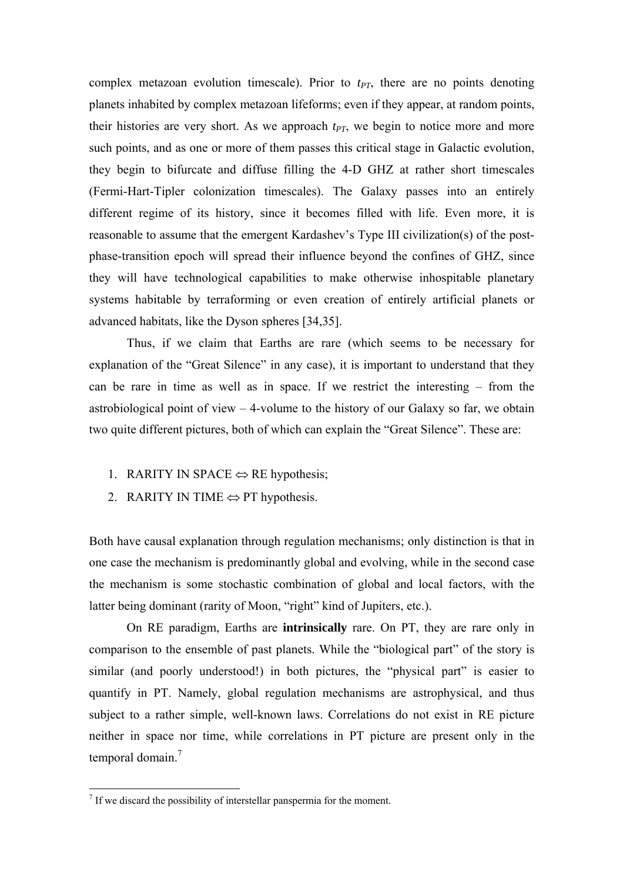complex metazoan evolution timescale). Prior to  $t_{PT}$ , there are no points denoting planets inhabited by complex metazoan lifeforms; even if they appear, at random points, their histories are very short. As we approach  $t_{PT}$ , we begin to notice more and more such points, and as one or more of them passes this critical stage in Galactic evolution, they begin to bifurcate and diffuse filling the 4-D GHZ at rather short timescales (Fermi-Hart-Tipler colonization timescales). The Galaxy passes into an entirely different regime of its history, since it becomes filled with life. Even more, it is reasonable to assume that the emergent Kardashev's Type III civilization(s) of the postphase-transition epoch will spread their influence beyond the confines of GHZ, since they will have technological capabilities to make otherwise inhospitable planetary systems habitable by terraforming or even creation of entirely artificial planets or advanced habitats, like the Dyson spheres [34,35].

 Thus, if we claim that Earths are rare (which seems to be necessary for explanation of the "Great Silence" in any case), it is important to understand that they can be rare in time as well as in space. If we restrict the interesting – from the astrobiological point of view – 4-volume to the history of our Galaxy so far, we obtain two quite different pictures, both of which can explain the "Great Silence". These are:

- 1. RARITY IN SPACE  $\Leftrightarrow$  RE hypothesis;
- 2. RARITY IN TIME  $\Leftrightarrow$  PT hypothesis.

Both have causal explanation through regulation mechanisms; only distinction is that in one case the mechanism is predominantly global and evolving, while in the second case the mechanism is some stochastic combination of global and local factors, with the latter being dominant (rarity of Moon, "right" kind of Jupiters, etc.).

 On RE paradigm, Earths are **intrinsically** rare. On PT, they are rare only in comparison to the ensemble of past planets. While the "biological part" of the story is similar (and poorly understood!) in both pictures, the "physical part" is easier to quantify in PT. Namely, global regulation mechanisms are astrophysical, and thus subject to a rather simple, well-known laws. Correlations do not exist in RE picture neither in space nor time, while correlations in PT picture are present only in the temporal domain.<sup>7</sup>

 7 If we discard the possibility of interstellar panspermia for the moment.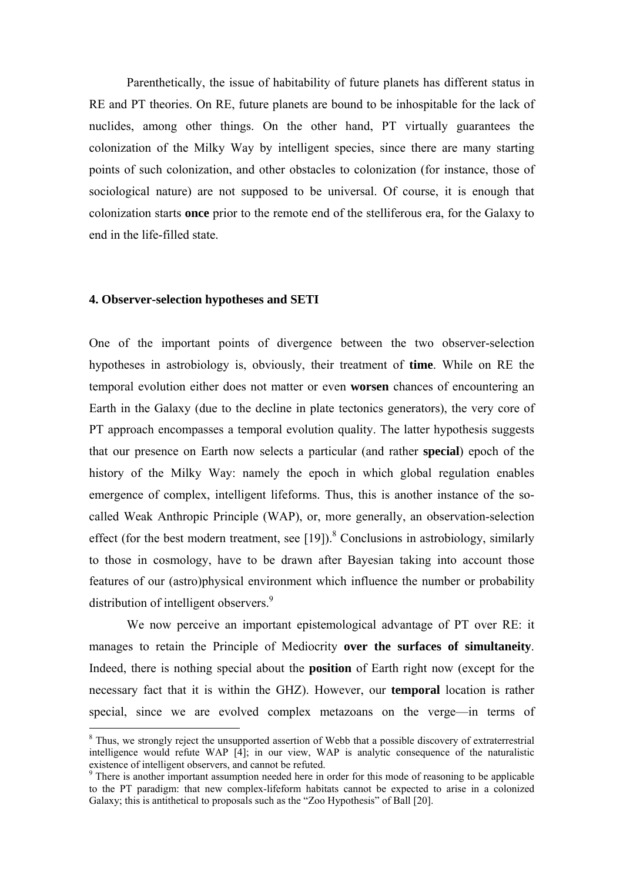Parenthetically, the issue of habitability of future planets has different status in RE and PT theories. On RE, future planets are bound to be inhospitable for the lack of nuclides, among other things. On the other hand, PT virtually guarantees the colonization of the Milky Way by intelligent species, since there are many starting points of such colonization, and other obstacles to colonization (for instance, those of sociological nature) are not supposed to be universal. Of course, it is enough that colonization starts **once** prior to the remote end of the stelliferous era, for the Galaxy to end in the life-filled state.

#### **4. Observer-selection hypotheses and SETI**

 $\overline{a}$ 

One of the important points of divergence between the two observer-selection hypotheses in astrobiology is, obviously, their treatment of **time**. While on RE the temporal evolution either does not matter or even **worsen** chances of encountering an Earth in the Galaxy (due to the decline in plate tectonics generators), the very core of PT approach encompasses a temporal evolution quality. The latter hypothesis suggests that our presence on Earth now selects a particular (and rather **special**) epoch of the history of the Milky Way: namely the epoch in which global regulation enables emergence of complex, intelligent lifeforms. Thus, this is another instance of the socalled Weak Anthropic Principle (WAP), or, more generally, an observation-selection effect (for the best modern treatment, see [19]).<sup>8</sup> Conclusions in astrobiology, similarly to those in cosmology, have to be drawn after Bayesian taking into account those features of our (astro)physical environment which influence the number or probability distribution of intelligent observers.<sup>9</sup>

 We now perceive an important epistemological advantage of PT over RE: it manages to retain the Principle of Mediocrity **over the surfaces of simultaneity**. Indeed, there is nothing special about the **position** of Earth right now (except for the necessary fact that it is within the GHZ). However, our **temporal** location is rather special, since we are evolved complex metazoans on the verge—in terms of

<sup>&</sup>lt;sup>8</sup> Thus, we strongly reject the unsupported assertion of Webb that a possible discovery of extraterrestrial intelligence would refute WAP [4]; in our view, WAP is analytic consequence of the naturalistic existence of intelligent observers, and cannot be refuted.

<sup>&</sup>lt;sup>9</sup> There is another important assumption needed here in order for this mode of reasoning to be applicable to the PT paradigm: that new complex-lifeform habitats cannot be expected to arise in a colonized Galaxy; this is antithetical to proposals such as the "Zoo Hypothesis" of Ball [20].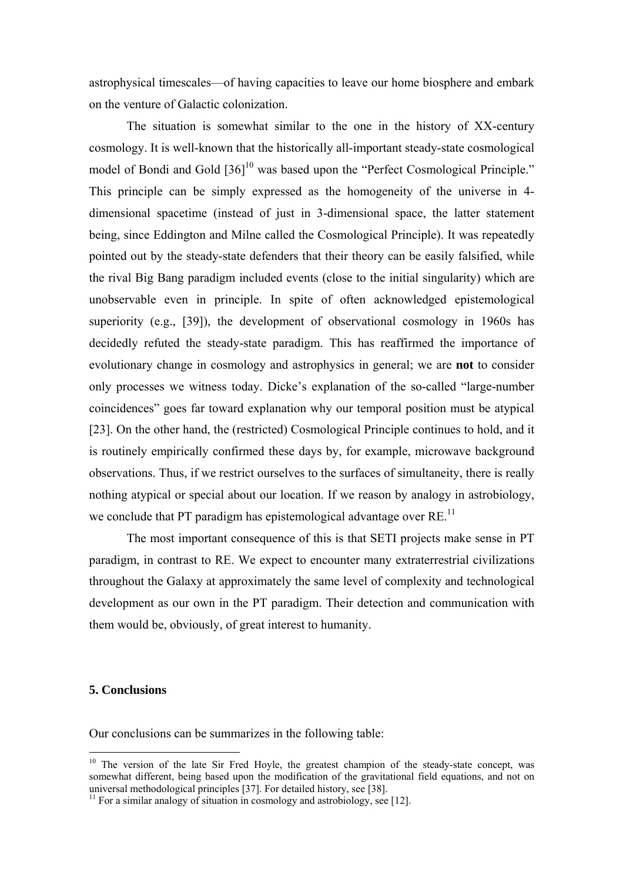astrophysical timescales—of having capacities to leave our home biosphere and embark on the venture of Galactic colonization.

 The situation is somewhat similar to the one in the history of XX-century cosmology. It is well-known that the historically all-important steady-state cosmological model of Bondi and Gold [36]<sup>10</sup> was based upon the "Perfect Cosmological Principle." This principle can be simply expressed as the homogeneity of the universe in 4 dimensional spacetime (instead of just in 3-dimensional space, the latter statement being, since Eddington and Milne called the Cosmological Principle). It was repeatedly pointed out by the steady-state defenders that their theory can be easily falsified, while the rival Big Bang paradigm included events (close to the initial singularity) which are unobservable even in principle. In spite of often acknowledged epistemological superiority (e.g., [39]), the development of observational cosmology in 1960s has decidedly refuted the steady-state paradigm. This has reaffirmed the importance of evolutionary change in cosmology and astrophysics in general; we are **not** to consider only processes we witness today. Dicke's explanation of the so-called "large-number coincidences" goes far toward explanation why our temporal position must be atypical [23]. On the other hand, the (restricted) Cosmological Principle continues to hold, and it is routinely empirically confirmed these days by, for example, microwave background observations. Thus, if we restrict ourselves to the surfaces of simultaneity, there is really nothing atypical or special about our location. If we reason by analogy in astrobiology, we conclude that PT paradigm has epistemological advantage over  $RE<sup>11</sup>$ .

 The most important consequence of this is that SETI projects make sense in PT paradigm, in contrast to RE. We expect to encounter many extraterrestrial civilizations throughout the Galaxy at approximately the same level of complexity and technological development as our own in the PT paradigm. Their detection and communication with them would be, obviously, of great interest to humanity.

### **5. Conclusions**

 $\overline{a}$ 

Our conclusions can be summarizes in the following table:

 $10$  The version of the late Sir Fred Hoyle, the greatest champion of the steady-state concept, was somewhat different, being based upon the modification of the gravitational field equations, and not on universal methodological principles [37]. For detailed history, see [38].

<sup>&</sup>lt;sup>11</sup> For a similar analogy of situation in cosmology and astrobiology, see [12].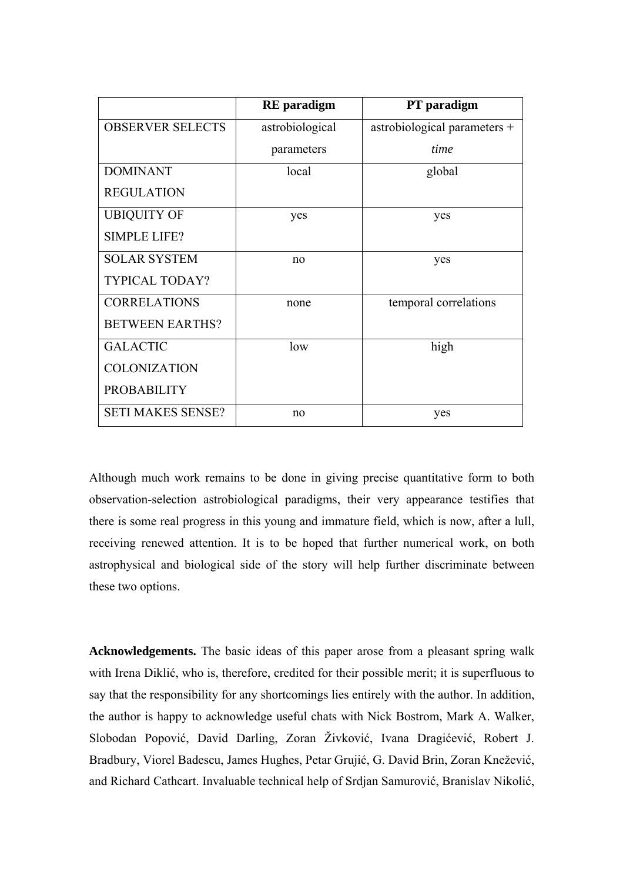|                          | <b>RE</b> paradigm | PT paradigm                  |
|--------------------------|--------------------|------------------------------|
| <b>OBSERVER SELECTS</b>  | astrobiological    | astrobiological parameters + |
|                          | parameters         | time                         |
| <b>DOMINANT</b>          | local              | global                       |
| <b>REGULATION</b>        |                    |                              |
| <b>UBIQUITY OF</b>       | yes                | yes                          |
| <b>SIMPLE LIFE?</b>      |                    |                              |
| <b>SOLAR SYSTEM</b>      | n <sub>0</sub>     | yes                          |
| <b>TYPICAL TODAY?</b>    |                    |                              |
| <b>CORRELATIONS</b>      | none               | temporal correlations        |
| <b>BETWEEN EARTHS?</b>   |                    |                              |
| <b>GALACTIC</b>          | low                | high                         |
| <b>COLONIZATION</b>      |                    |                              |
| <b>PROBABILITY</b>       |                    |                              |
| <b>SETI MAKES SENSE?</b> | n <sub>0</sub>     | yes                          |

Although much work remains to be done in giving precise quantitative form to both observation-selection astrobiological paradigms, their very appearance testifies that there is some real progress in this young and immature field, which is now, after a lull, receiving renewed attention. It is to be hoped that further numerical work, on both astrophysical and biological side of the story will help further discriminate between these two options.

**Acknowledgements.** The basic ideas of this paper arose from a pleasant spring walk with Irena Diklić, who is, therefore, credited for their possible merit; it is superfluous to say that the responsibility for any shortcomings lies entirely with the author. In addition, the author is happy to acknowledge useful chats with Nick Bostrom, Mark A. Walker, Slobodan Popović, David Darling, Zoran Živković, Ivana Dragićević, Robert J. Bradbury, Viorel Badescu, James Hughes, Petar Grujić, G. David Brin, Zoran Knežević, and Richard Cathcart. Invaluable technical help of Srdjan Samurović, Branislav Nikolić,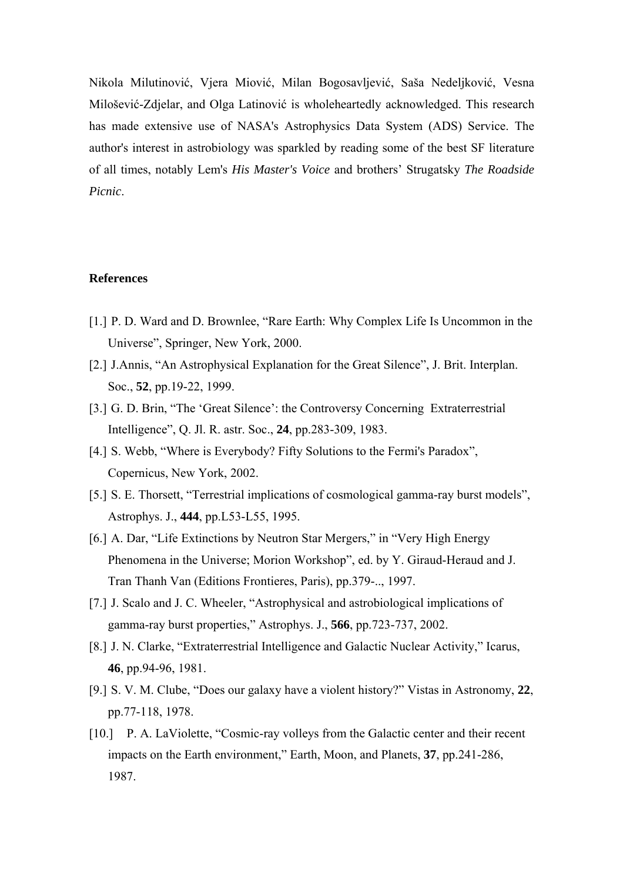Nikola Milutinović, Vjera Miović, Milan Bogosavljević, Saša Nedeljković, Vesna Milošević-Zdjelar, and Olga Latinović is wholeheartedly acknowledged. This research has made extensive use of NASA's Astrophysics Data System (ADS) Service. The author's interest in astrobiology was sparkled by reading some of the best SF literature of all times, notably Lem's *His Master's Voice* and brothers' Strugatsky *The Roadside Picnic*.

### **References**

- [1.] P. D. Ward and D. Brownlee, "Rare Earth: Why Complex Life Is Uncommon in the Universe", Springer, New York, 2000.
- [2.] J.Annis, "An Astrophysical Explanation for the Great Silence", J. Brit. Interplan. Soc., **52**, pp.19-22, 1999.
- [3.] G. D. Brin, "The 'Great Silence': the Controversy Concerning Extraterrestrial Intelligence", Q. Jl. R. astr. Soc., **24**, pp.283-309, 1983.
- [4.] S. Webb, "Where is Everybody? Fifty Solutions to the Fermi's Paradox", Copernicus, New York, 2002.
- [5.] S. E. Thorsett, "Terrestrial implications of cosmological gamma-ray burst models", Astrophys. J., **444**, pp.L53-L55, 1995.
- [6.] A. Dar, "Life Extinctions by Neutron Star Mergers," in "Very High Energy Phenomena in the Universe; Morion Workshop", ed. by Y. Giraud-Heraud and J. Tran Thanh Van (Editions Frontieres, Paris), pp.379-.., 1997.
- [7.] J. Scalo and J. C. Wheeler, "Astrophysical and astrobiological implications of gamma-ray burst properties," Astrophys. J., **566**, pp.723-737, 2002.
- [8.] J. N. Clarke, "Extraterrestrial Intelligence and Galactic Nuclear Activity," Icarus, **46**, pp.94-96, 1981.
- [9.] S. V. M. Clube, "Does our galaxy have a violent history?" Vistas in Astronomy, **22**, pp.77-118, 1978.
- [10.] P. A. LaViolette, "Cosmic-ray volleys from the Galactic center and their recent impacts on the Earth environment," Earth, Moon, and Planets, **37**, pp.241-286, 1987.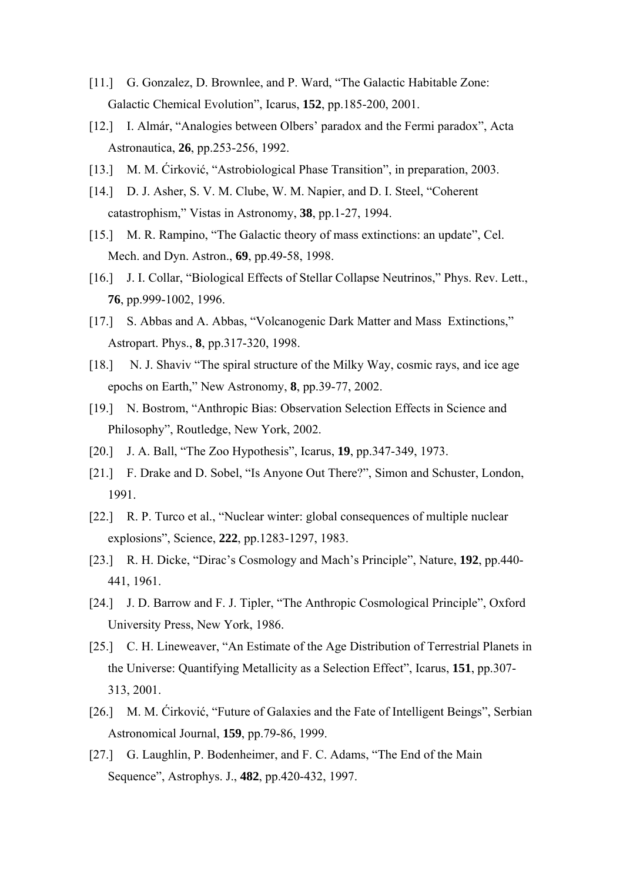- [11.] G. Gonzalez, D. Brownlee, and P. Ward, "The Galactic Habitable Zone: Galactic Chemical Evolution", Icarus, **152**, pp.185-200, 2001.
- [12.] I. Almár, "Analogies between Olbers' paradox and the Fermi paradox", Acta Astronautica, **26**, pp.253-256, 1992.
- [13.] M. M. Ćirković, "Astrobiological Phase Transition", in preparation, 2003.
- [14.] D. J. Asher, S. V. M. Clube, W. M. Napier, and D. I. Steel, "Coherent" catastrophism," Vistas in Astronomy, **38**, pp.1-27, 1994.
- [15.] M. R. Rampino, "The Galactic theory of mass extinctions: an update", Cel. Mech. and Dyn. Astron., **69**, pp.49-58, 1998.
- [16.] J. I. Collar, "Biological Effects of Stellar Collapse Neutrinos," Phys. Rev. Lett., **76**, pp.999-1002, 1996.
- [17.] S. Abbas and A. Abbas, "Volcanogenic Dark Matter and Mass Extinctions," Astropart. Phys., **8**, pp.317-320, 1998.
- [18.] N. J. Shaviv "The spiral structure of the Milky Way, cosmic rays, and ice age epochs on Earth," New Astronomy, **8**, pp.39-77, 2002.
- [19.] N. Bostrom, "Anthropic Bias: Observation Selection Effects in Science and Philosophy", Routledge, New York, 2002.
- [20.] J. A. Ball, "The Zoo Hypothesis", Icarus, **19**, pp.347-349, 1973.
- [21.] F. Drake and D. Sobel, "Is Anyone Out There?", Simon and Schuster, London, 1991.
- [22.] R. P. Turco et al., "Nuclear winter: global consequences of multiple nuclear explosions", Science, **222**, pp.1283-1297, 1983.
- [23.] R. H. Dicke, "Dirac's Cosmology and Mach's Principle", Nature, **192**, pp.440- 441, 1961.
- [24.] J. D. Barrow and F. J. Tipler, "The Anthropic Cosmological Principle", Oxford University Press, New York, 1986.
- [25.] C. H. Lineweaver, "An Estimate of the Age Distribution of Terrestrial Planets in the Universe: Quantifying Metallicity as a Selection Effect", Icarus, **151**, pp.307- 313, 2001.
- [26.] M. M. Ćirković, "Future of Galaxies and the Fate of Intelligent Beings", Serbian Astronomical Journal, **159**, pp.79-86, 1999.
- [27.] G. Laughlin, P. Bodenheimer, and F. C. Adams, "The End of the Main Sequence", Astrophys. J., **482**, pp.420-432, 1997.